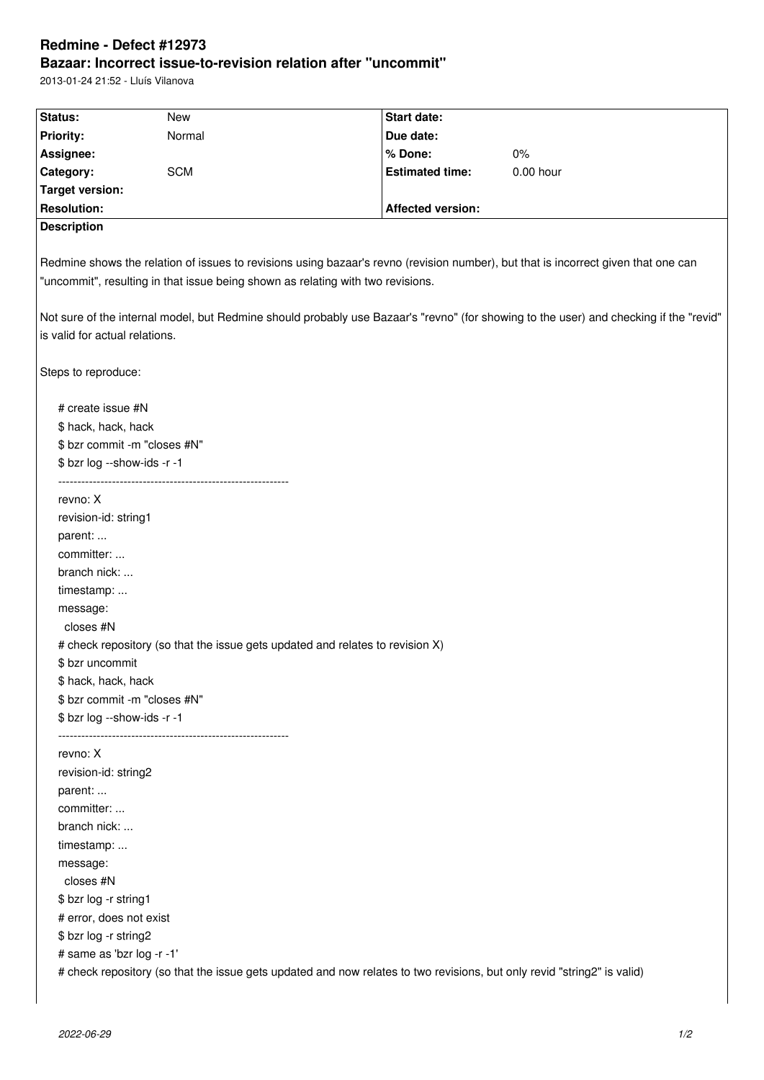## **Redmine - Defect #12973 Bazaar: Incorrect issue-to-revision relation after "uncommit"**

2013-01-24 21:52 - Lluís Vilanova

| Status:                        | New                                                                             | Start date:                                                                                                             |                                                                                                                                        |
|--------------------------------|---------------------------------------------------------------------------------|-------------------------------------------------------------------------------------------------------------------------|----------------------------------------------------------------------------------------------------------------------------------------|
| <b>Priority:</b>               | Normal                                                                          | Due date:                                                                                                               |                                                                                                                                        |
| Assignee:                      |                                                                                 | % Done:                                                                                                                 | $0\%$                                                                                                                                  |
| Category:                      | <b>SCM</b>                                                                      | <b>Estimated time:</b>                                                                                                  | $0.00$ hour                                                                                                                            |
| <b>Target version:</b>         |                                                                                 |                                                                                                                         |                                                                                                                                        |
| <b>Resolution:</b>             |                                                                                 | <b>Affected version:</b>                                                                                                |                                                                                                                                        |
| <b>Description</b>             |                                                                                 |                                                                                                                         |                                                                                                                                        |
|                                | "uncommit", resulting in that issue being shown as relating with two revisions. |                                                                                                                         | Redmine shows the relation of issues to revisions using bazaar's revno (revision number), but that is incorrect given that one can     |
| is valid for actual relations. |                                                                                 |                                                                                                                         | Not sure of the internal model, but Redmine should probably use Bazaar's "revno" (for showing to the user) and checking if the "revid" |
| Steps to reproduce:            |                                                                                 |                                                                                                                         |                                                                                                                                        |
| # create issue #N              |                                                                                 |                                                                                                                         |                                                                                                                                        |
| \$ hack, hack, hack            |                                                                                 |                                                                                                                         |                                                                                                                                        |
| \$ bzr commit -m "closes #N"   |                                                                                 |                                                                                                                         |                                                                                                                                        |
| \$ bzr log --show-ids -r -1    |                                                                                 |                                                                                                                         |                                                                                                                                        |
| revno: X                       |                                                                                 |                                                                                                                         |                                                                                                                                        |
| revision-id: string1           |                                                                                 |                                                                                                                         |                                                                                                                                        |
| parent:                        |                                                                                 |                                                                                                                         |                                                                                                                                        |
| committer:                     |                                                                                 |                                                                                                                         |                                                                                                                                        |
| branch nick:                   |                                                                                 |                                                                                                                         |                                                                                                                                        |
| timestamp:                     |                                                                                 |                                                                                                                         |                                                                                                                                        |
| message:                       |                                                                                 |                                                                                                                         |                                                                                                                                        |
| closes #N                      |                                                                                 |                                                                                                                         |                                                                                                                                        |
|                                |                                                                                 | # check repository (so that the issue gets updated and relates to revision X)                                           |                                                                                                                                        |
| \$ bzr uncommit                |                                                                                 |                                                                                                                         |                                                                                                                                        |
| \$ hack, hack, hack            |                                                                                 |                                                                                                                         |                                                                                                                                        |
| \$ bzr commit -m "closes #N"   |                                                                                 |                                                                                                                         |                                                                                                                                        |
| \$ bzr log --show-ids -r -1    |                                                                                 |                                                                                                                         |                                                                                                                                        |
| revno: X                       |                                                                                 |                                                                                                                         |                                                                                                                                        |
| revision-id: string2           |                                                                                 |                                                                                                                         |                                                                                                                                        |
| parent:                        |                                                                                 |                                                                                                                         |                                                                                                                                        |
| committer:                     |                                                                                 |                                                                                                                         |                                                                                                                                        |
| branch nick:                   |                                                                                 |                                                                                                                         |                                                                                                                                        |
| timestamp:                     |                                                                                 |                                                                                                                         |                                                                                                                                        |
| message:                       |                                                                                 |                                                                                                                         |                                                                                                                                        |
| closes #N                      |                                                                                 |                                                                                                                         |                                                                                                                                        |
| \$ bzr log -r string1          |                                                                                 |                                                                                                                         |                                                                                                                                        |
| # error, does not exist        |                                                                                 |                                                                                                                         |                                                                                                                                        |
| \$ bzr log -r string2          |                                                                                 |                                                                                                                         |                                                                                                                                        |
| # same as 'bzr log -r -1'      |                                                                                 |                                                                                                                         |                                                                                                                                        |
|                                |                                                                                 | # check repository (so that the issue gets updated and now relates to two revisions, but only revid "string2" is valid) |                                                                                                                                        |